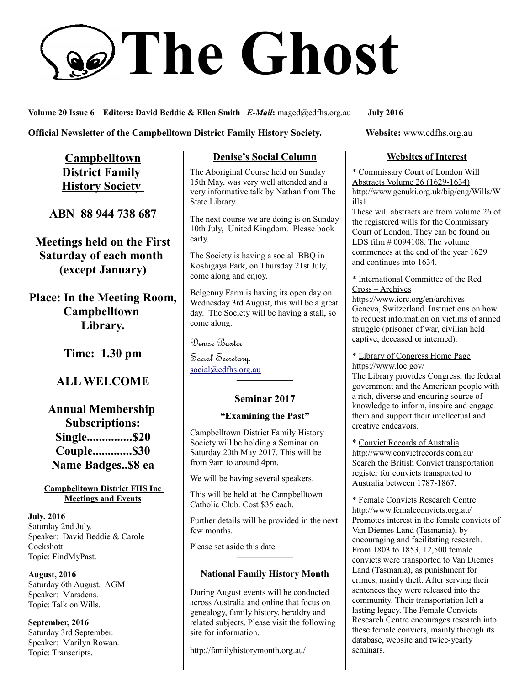# **The Ghost**

**Volume 20 Issue 6 Editors: David Beddie & Ellen Smith** *E-Mail***:** maged@cdfhs.org.au **July 2016**

**Official Newsletter of the Campbelltown District Family History Society. Website: www.cdfhs.org.au** 

**Campbelltown District Family History Society** 

**ABN 88 944 738 687**

**Meetings held on the First Saturday of each month (except January)**

**Place: In the Meeting Room, Campbelltown Library.**

**Time: 1.30 pm**

# **ALL WELCOME**

**Annual Membership Subscriptions: Single...............\$20 Couple.............\$30 Name Badges..\$8 ea**

**Campbelltown District FHS Inc Meetings and Events**

**July, 2016** Saturday 2nd July. Speaker: David Beddie & Carole **Cockshott** Topic: FindMyPast.

**August, 2016** Saturday 6th August. AGM Speaker: Marsdens. Topic: Talk on Wills.

**September, 2016** Saturday 3rd September. Speaker: Marilyn Rowan. Topic: Transcripts.

## **Denise's Social Column**

The Aboriginal Course held on Sunday 15th May, was very well attended and a very informative talk by Nathan from The State Library.

The next course we are doing is on Sunday 10th July, United Kingdom. Please book early.

The Society is having a social BBQ in Koshigaya Park, on Thursday 21st July, come along and enjoy.

Belgenny Farm is having its open day on Wednesday 3rd August, this will be a great day. The Society will be having a stall, so come along.

Denise Baxter

Social Secretary. [social@cdfhs.org.au](mailto:social@cdfhs.org.au)

## **Seminar 2017**

**——————–**

#### **"Examining the Past"**

Campbelltown District Family History Society will be holding a Seminar on Saturday 20th May 2017. This will be from 9am to around 4pm.

We will be having several speakers.

This will be held at the Campbelltown Catholic Club. Cost \$35 each.

Further details will be provided in the next few months.

Please set aside this date.

# **——————– National Family History Month**

During August events will be conducted across Australia and online that focus on genealogy, family history, heraldry and related subjects. Please visit the following site for information.

http://familyhistorymonth.org.au/

#### **Websites of Interest**

\* Commissary Court of London Will Abstracts Volume 26 (1629-1634) http://www.genuki.org.uk/big/eng/Wills/W ills1

These will abstracts are from volume 26 of the registered wills for the Commissary Court of London. They can be found on LDS film # 0094108. The volume commences at the end of the year 1629 and continues into 1634.

\* International Committee of the Red Cross – Archives

https://www.icrc.org/en/archives Geneva, Switzerland. Instructions on how to request information on victims of armed struggle (prisoner of war, civilian held captive, deceased or interned).

\* Library of Congress Home Page https://www.loc.gov/

The Library provides Congress, the federal government and the American people with a rich, diverse and enduring source of knowledge to inform, inspire and engage them and support their intellectual and creative endeavors.

\* Convict Records of Australia http://www.convictrecords.com.au/ Search the British Convict transportation register for convicts transported to Australia between 1787-1867.

\* Female Convicts Research Centre http://www.femaleconvicts.org.au/ Promotes interest in the female convicts of Van Diemes Land (Tasmania), by encouraging and facilitating research. From 1803 to 1853, 12,500 female convicts were transported to Van Diemes Land (Tasmania), as punishment for crimes, mainly theft. After serving their sentences they were released into the community. Their transportation left a lasting legacy. The Female Convicts Research Centre encourages research into these female convicts, mainly through its database, website and twice-yearly seminars.